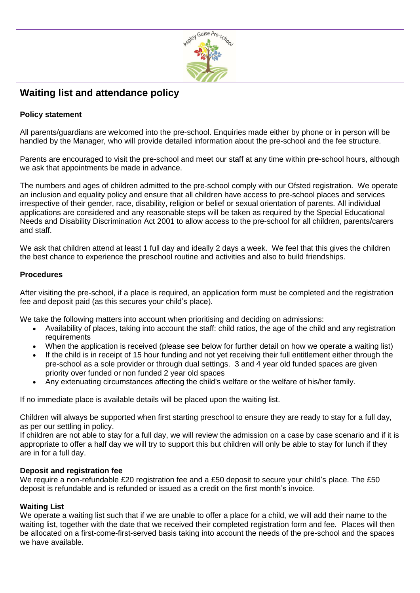

# **Waiting list and attendance policy**

# **Policy statement**

All parents/guardians are welcomed into the pre-school. Enquiries made either by phone or in person will be handled by the Manager, who will provide detailed information about the pre-school and the fee structure.

Parents are encouraged to visit the pre-school and meet our staff at any time within pre-school hours, although we ask that appointments be made in advance.

The numbers and ages of children admitted to the pre-school comply with our Ofsted registration. We operate an inclusion and equality policy and ensure that all children have access to pre-school places and services irrespective of their gender, race, disability, religion or belief or sexual orientation of parents. All individual applications are considered and any reasonable steps will be taken as required by the Special Educational Needs and Disability Discrimination Act 2001 to allow access to the pre-school for all children, parents/carers and staff.

We ask that children attend at least 1 full day and ideally 2 days a week. We feel that this gives the children the best chance to experience the preschool routine and activities and also to build friendships.

## **Procedures**

After visiting the pre-school, if a place is required, an application form must be completed and the registration fee and deposit paid (as this secures your child's place).

We take the following matters into account when prioritising and deciding on admissions:

- Availability of places, taking into account the staff: child ratios, the age of the child and any registration requirements
- When the application is received (please see below for further detail on how we operate a waiting list)
- If the child is in receipt of 15 hour funding and not yet receiving their full entitlement either through the pre-school as a sole provider or through dual settings. 3 and 4 year old funded spaces are given priority over funded or non funded 2 year old spaces
- Any extenuating circumstances affecting the child's welfare or the welfare of his/her family.

If no immediate place is available details will be placed upon the waiting list.

Children will always be supported when first starting preschool to ensure they are ready to stay for a full day, as per our settling in policy.

If children are not able to stay for a full day, we will review the admission on a case by case scenario and if it is appropriate to offer a half day we will try to support this but children will only be able to stay for lunch if they are in for a full day.

### **Deposit and registration fee**

We require a non-refundable £20 registration fee and a £50 deposit to secure your child's place. The £50 deposit is refundable and is refunded or issued as a credit on the first month's invoice.

### **Waiting List**

We operate a waiting list such that if we are unable to offer a place for a child, we will add their name to the waiting list, together with the date that we received their completed registration form and fee. Places will then be allocated on a first-come-first-served basis taking into account the needs of the pre-school and the spaces we have available.